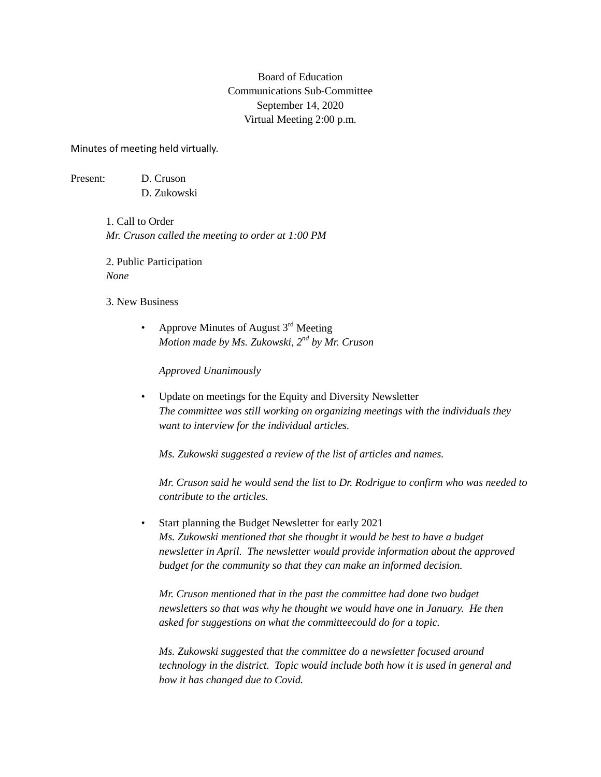## Board of Education Communications Sub-Committee September 14, 2020 Virtual Meeting 2:00 p.m.

Minutes of meeting held virtually.

Present: D. Cruson

D. Zukowski

1. Call to Order *Mr. Cruson called the meeting to order at 1:00 PM*

2. Public Participation *None*

3. New Business

• Approve Minutes of August  $3<sup>rd</sup>$  Meeting *Motion made by Ms. Zukowski, 2nd by Mr. Cruson*

*Approved Unanimously*

• Update on meetings for the Equity and Diversity Newsletter *The committee was still working on organizing meetings with the individuals they want to interview for the individual articles.*

*Ms. Zukowski suggested a review of the list of articles and names.* 

*Mr. Cruson said he would send the list to Dr. Rodrigue to confirm who was needed to contribute to the articles.*

• Start planning the Budget Newsletter for early 2021 *Ms. Zukowski mentioned that she thought it would be best to have a budget newsletter in April. The newsletter would provide information about the approved budget for the community so that they can make an informed decision.*

*Mr. Cruson mentioned that in the past the committee had done two budget newsletters so that was why he thought we would have one in January. He then asked for suggestions on what the committeecould do for a topic.* 

*Ms. Zukowski suggested that the committee do a newsletter focused around technology in the district. Topic would include both how it is used in general and how it has changed due to Covid.*